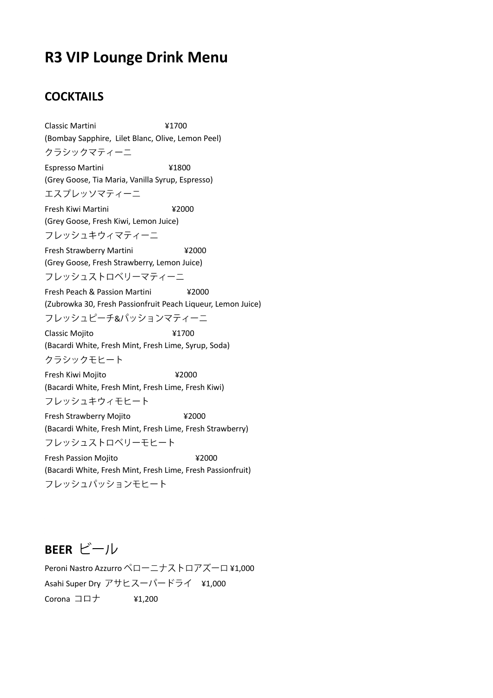# **R3 VIP Lounge Drink Menu**

### **COCKTAILS**

Classic Martini ¥1700 (Bombay Sapphire, Lilet Blanc, Olive, Lemon Peel) クラシックマティーニ Espresso Martini ¥1800 (Grey Goose, Tia Maria, Vanilla Syrup, Espresso) エスプレッソマティーニ Fresh Kiwi Martini ¥2000 (Grey Goose, Fresh Kiwi, Lemon Juice) フレッシュキウィマティーニ Fresh Strawberry Martini ¥2000 (Grey Goose, Fresh Strawberry, Lemon Juice) フレッシュストロベリーマティーニ Fresh Peach & Passion Martini ¥2000 (Zubrowka 30, Fresh Passionfruit Peach Liqueur, Lemon Juice) フレッシュピーチ&パッションマティーニ Classic Mojito ¥1700 (Bacardi White, Fresh Mint, Fresh Lime, Syrup, Soda) クラシックモヒート Fresh Kiwi Mojito ¥2000 (Bacardi White, Fresh Mint, Fresh Lime, Fresh Kiwi) フレッシュキウィモヒート Fresh Strawberry Mojito ¥2000 (Bacardi White, Fresh Mint, Fresh Lime, Fresh Strawberry) フレッシュストロベリーモヒート Fresh Passion Mojito **¥2000** (Bacardi White, Fresh Mint, Fresh Lime, Fresh Passionfruit) フレッシュパッションモヒート

**BEER** 

Peroni Nastro Azzurro ペローニナストロアズーロ ¥1,000 Asahi Super Dry アサヒスーパードライ ¥1,000 Corona  $\Box \Box \dot{\top}$  ¥1,200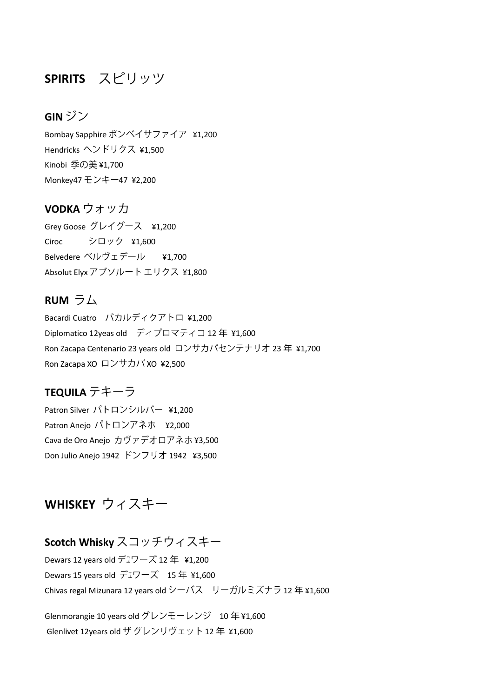## **SPIRITS**

#### **GIN**

Bombay Sapphire ボンベイサファイア ¥1,200 Hendricks ¥1,500 Kinobi 季の美 ¥1,700 Monkey47 モンキー47 ¥2,200

#### **VODKA** ウォッカ

Grey Goose グレイグース ¥1,200 Ciroc ¥1,600 Belvedere ¥1,700 Absolut Elyx アブソルート エリクス ¥1,800

#### **RUM**  $\overline{7}$   $\overline{4}$

Bacardi Cuatro バカルディクアトロ ¥1,200 Diplomatico 12yeas old ディプロマティコ 12年 ¥1,600 Ron Zacapa Centenario 23 years old ロンサカパセンテナリオ 23年 ¥1,700 Ron Zacapa XO ロンサカパ XO ¥2,500

## **TEQUILA**

Patron Silver パトロンシルバー ¥1,200 Patron Anejo パトロンアネホ ¥2,000 Cava de Oro Anejo カヴァデオロアネホ ¥3,500 Don Julio Anejo 1942 ドンフリオ 1942 ¥3,500

## **WHISKEY**

## **Scotch Whisky**

Dewars 12 years old  $\vec{r}$  17  $-\vec{X}$  12  $\text{f}$  ¥1,200 Dewars 15 years old デュワーズ 15年 ¥1,600 Chivas regal Mizunara 12 years old シーバス リーガルミズナラ 12年¥1,600

Glenmorangie 10 years old グレンモーレンジ 10年¥1,600 Glenlivet 12years old ザ グレンリヴェット 12年 ¥1,600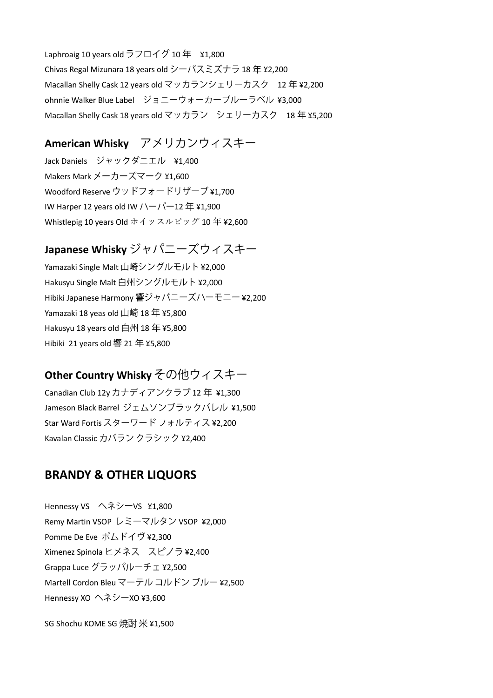Laphroaig 10 years old ラフロイグ 10 年 ¥1,800 Chivas Regal Mizunara 18 years old シーバスミズナラ 18 年 ¥2,200 Macallan Shelly Cask 12 years old マッカランシェリーカスク 12年¥2,200 ohnnie Walker Blue Label ジョニーウォーカーブルーラベル ¥3,000 Macallan Shelly Cask 18 years old マッカラン シェリーカスク 18年¥5.200

## **American Whisky**

Jack Daniels ジャックダニエル ¥1.400 Makers Mark ¥1,600 Woodford Reserve ウッドフォードリザーブ ¥1,700 IW Harper 12 years old IW  $1-\sqrt{2} + 12 \n\equiv 1,900$ Whistlepig 10 years Old ホイッスルピッグ 10 年 ¥2,600

## **Japanese Whisky**

Yamazaki Single Malt 山崎シングルモルト ¥2,000 Hakusyu Single Malt 白州シングルモルト ¥2,000 Hibiki Japanese Harmony 響ジャパニーズハーモニー ¥2,200 Yamazaki 18 yeas old 山崎 18年 ¥5,800 Hakusyu 18 years old 白州 18 年 ¥5,800 Hibiki 21 years old 響 21 年 ¥5,800

## **Other Country Whisky その他ウィスキー**

Canadian Club 12y カナディアンクラブ 12 年 ¥1,300 Jameson Black Barrel ジェムソンブラックバレル ¥1,500 Star Ward Fortis スターワードフォルティス ¥2,200 Kavalan Classic カバラン クラシック ¥2,400

#### **BRANDY & OTHER LIQUORS**

Hennessy VS へネシーVS ¥1,800 Remy Martin VSOP レミーマルタン VSOP ¥2,000 Pomme De Eve ¥2,300 Ximenez Spinola ヒメネス スピノラ ¥2,400 Grappa Luce グラッパルーチェ ¥2,500 Martell Cordon Bleu マーテル コルドン ブルー ¥2,500 Hennessy XO へネシーXO ¥3,600

SG Shochu KOME SG 焼酎 米 ¥1.500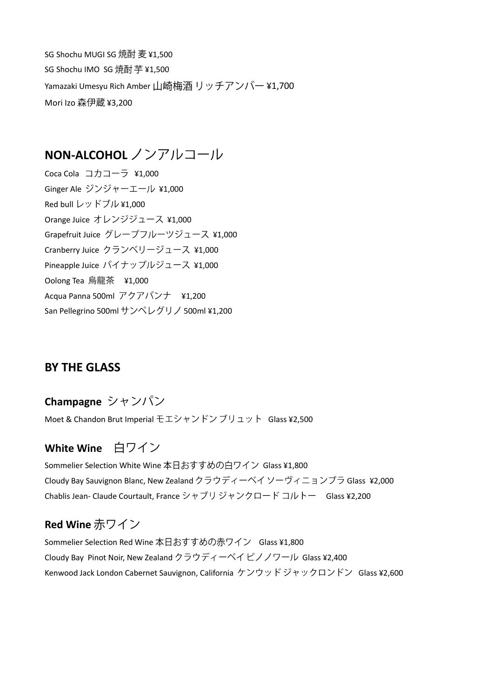SG Shochu MUGI SG ¥1,500 SG Shochu IMO SG 焼酎 芋 ¥1,500 Yamazaki Umesyu Rich Amber 山崎梅酒 リッチアンバー ¥1,700 Mori Izo 森伊蔵 ¥3,200

## **NON-ALCOHOL**

Coca Cola ¥1,000 Ginger Ale ジンジャーエール ¥1,000 Red bull レッドブル ¥1,000 Orange Juice オレンジジュース ¥1,000 Grapefruit Juice グレープフルーツジュース ¥1,000 Cranberry Juice クランベリージュース ¥1,000 Pineapple Juice パイナップルジュース ¥1,000 Oolong Tea 烏龍茶 ¥1,000 Acqua Panna 500ml  $\nabla$ クアパンナ ¥1,200 San Pellegrino 500ml サンペレグリノ 500ml ¥1,200

#### **BY THE GLASS**

#### **Champagne**

Moet & Chandon Brut Imperial モエシャンドン ブリュット Glass ¥2,500

## **White Wine**

Sommelier Selection White Wine 本日おすすめの白ワイン Glass ¥1,800 Cloudy Bay Sauvignon Blanc, New Zealand クラウディーベイ ソーヴィニョンブラ Glass ¥2,000 Chablis Jean- Claude Courtault, France シャブリ ジャンクロード コルトー Glass ¥2,200

## **Red Wine**

Sommelier Selection Red Wine 本日おすすめの赤ワイン Glass ¥1,800 Cloudy Bay Pinot Noir, New Zealand クラウディーベイピノノワール Glass ¥2,400 Kenwood Jack London Cabernet Sauvignon, California ケンウッドジャックロンドン Glass ¥2,600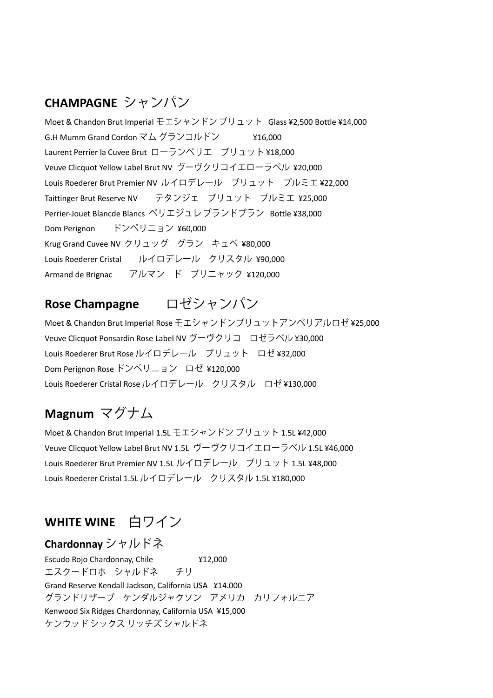## **CHAMPAGNE**

Moet & Chandon Brut Imperial モエシャンドン ブリュット Glass ¥2,500 Bottle ¥14,000 G.H Mumm Grand Cordon ¥16,000 Laurent Perrier la Cuvee Brut ローランペリエ ブリュット ¥18,000 Veuve Clicquot Yellow Label Brut NV ヴーヴクリコイエローラベル ¥20,000 Louis Roederer Brut Premier NV ルイロデレール ブリュット プルミエ¥22,000 Taittinger Brut Reserve NV テタンジェ ブリュット プルミエ ¥25,000 Perrier-Jouet Blancde Blancs ペリエジュレ ブランドブラン Bottle ¥38,000 Dom Perignon ドンペリニョン ¥60,000 Krug Grand Cuvee NV クリュッグ グラン キュベ ¥80,000 Louis Roederer Cristal ルイロデレール クリスタル ¥90,000 Armand de Brignac アルマン ド ブリニャック ¥120,000

#### ロゼシャンパン **Rose Champagne**

Moet & Chandon Brut Imperial Rose モエシャンドンブリュットアンペリアルロゼ ¥25,000 Veuve Clicquot Ponsardin Rose Label NV ヴーヴクリコ ロゼラベル ¥30,000 Louis Roederer Brut Rose ルイロデレール ブリュット ロゼ¥32,000 Dom Perignon Rose ドンペリニョン ロゼ ¥120,000 Louis Roederer Cristal Rose ルイロデレール クリスタル ロゼ ¥130,000

# **Magnum**

Moet & Chandon Brut Imperial 1.5L モエシャンドン ブリュット 1.5L ¥42,000 Veuve Clicquot Yellow Label Brut NV 1.5L ヴーヴクリコイエローラベル 1.5L ¥46,000 Louis Roederer Brut Premier NV 1.5L ルイロデレール ブリュット 1.5L ¥48,000 Louis Roederer Cristal 1.5L ルイロデレール クリスタル 1.5L ¥180,000

## **WHITE WINE**

#### **Chardonnay**

Escudo Rojo Chardonnay, Chile  $\frac{412,000}{ }$ チリ エスクードロホ シャルドネ Grand Reserve Kendall Jackson, California USA ¥14.000 グランドリザーブ ケンダルジャクソン アメリカ カリフォルニア Kenwood Six Ridges Chardonnay, California USA ¥15,000ケンウッドシックス リッチズ シャルドネ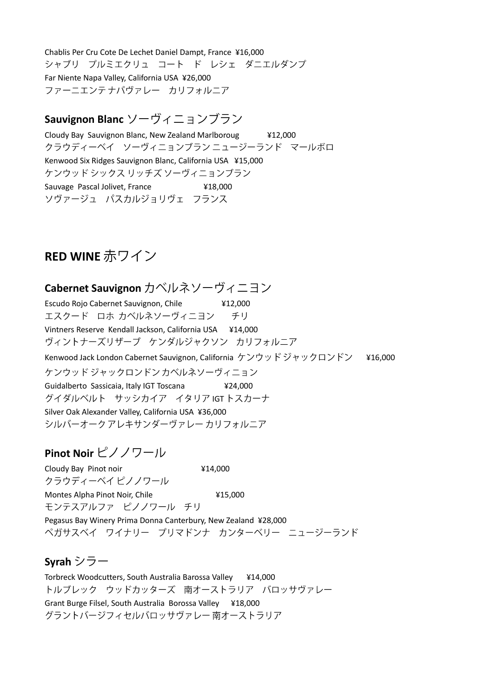Chablis Per Cru Cote De Lechet Daniel Dampt, France ¥16,000<br>シャブリ プルミエクリュ コート ド レシェ ダニエルダンプ Far Niente Napa Valley, California USA ¥26,000 ファーニエンテナパヴァレー カリフォルニア

# **Sauvignon Blanc**

Cloudy Bay Sauvignon Blanc, New Zealand Marlboroug ¥12,000 クラウディーベイ ソーヴィニョンブラン ニュージーランド マールボロ Kenwood Six Ridges Sauvignon Blanc, California USA ¥15,000 ケンウッドシックス リッチズ ソーヴィニョンブラン Sauvage Pascal Jolivet, France ¥18,000 ソヴァージュ パスカルジョリヴェ フランス

## **RED WINE**

## **Cabernet Sauvignon**

Escudo Rojo Cabernet Sauvignon, Chile ¥12,000 エスクード ロホ カベルネソーヴィニヨン チリ Vintners Reserve Kendall Jackson, California USA ¥14,000 ヴィントナーズリザーブ ケンダルジャクソン カリフォルニア Kenwood Jack London Cabernet Sauvignon, California ケンウッドジャックロンドン ¥16,000 ケンウッド ジャックロンドン カベルネソーヴィニョン Guidalberto Sassicaia, Italy IGT Toscana ¥24,000 グイダルベルト サッシカイア イタリア IGT トスカーナ Silver Oak Alexander Valley, California USA ¥36,000 シルバーオーク アレキサンダーヴァレー カリフォルニア

### **Pinot Noir**

Cloudy Bay Pinot noir  $\angle$  414,000 クラウディーベイ ピノノワール Montes Alpha Pinot Noir, Chile  $\frac{415,000}{8}$ モンテスアルファ ピノノワール チリ Pegasus Bay Winery Prima Donna Canterbury, New Zealand ¥28,000 ペガサスベイ ワイナリー プリマドンナ カンターベリー ニュージーランド

### **Syrah**

Torbreck Woodcutters, South Australia Barossa Valley ¥14,000 トルブレック ウッドカッターズ 南オーストラリア バロッサヴァレー Grant Burge Filsel, South Australia Borossa Valley ¥18,000グラントバージフィセルバロッサヴァレー 南オーストラリア